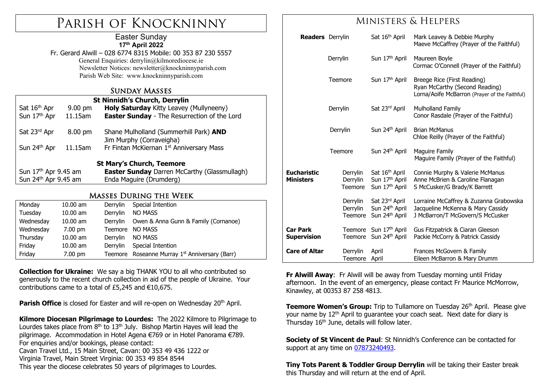# Parish of Knockninny

#### Easter Sunday **17th April 2022**

Fr. Gerard Alwill – 028 6774 8315 Mobile: 00 353 87 230 5557 General Enquiries: derrylin@kilmorediocese.ie Newsletter Notices: newsletter@knockninnyparish.com Parish Web Site: www.knockninnyparish.com

#### Sunday Masses

| <b>St Ninnidh's Church, Derrylin</b> |           |                                                                    |  |  |  |  |
|--------------------------------------|-----------|--------------------------------------------------------------------|--|--|--|--|
| Sat 16 <sup>th</sup> Apr             | $9.00$ pm | Holy Saturday Kitty Leavey (Mullyneeny)                            |  |  |  |  |
| Sun 17th Apr                         | 11.15am   | <b>Easter Sunday</b> - The Resurrection of the Lord                |  |  |  |  |
| Sat 23rd Apr                         | 8.00 pm   | Shane Mulholland (Summerhill Park) AND<br>Jim Murphy (Corraveigha) |  |  |  |  |
| Sun 24th Apr                         | 11.15am   | Fr Fintan McKiernan 1st Anniversary Mass                           |  |  |  |  |
| <b>St Mary's Church, Teemore</b>     |           |                                                                    |  |  |  |  |
| Sun 17 <sup>th</sup> Apr 9.45 am     |           | <b>Easter Sunday</b> Darren McCarthy (Glassmullagh)                |  |  |  |  |
| Sun 24th Apr 9.45 am                 |           | Enda Maguire (Drumderg)                                            |  |  |  |  |
|                                      |           |                                                                    |  |  |  |  |

#### Masses During the Week

| Monday    | $10.00$ am        | Derrylin | Special Intention                                  |
|-----------|-------------------|----------|----------------------------------------------------|
| Tuesday   | $10.00$ am        | Derrylin | <b>NO MASS</b>                                     |
| Wednesday | $10.00$ am        | Derrylin | Owen & Anna Gunn & Family (Cornanoe)               |
| Wednesday | $7.00 \text{ pm}$ | Teemore  | <b>NO MASS</b>                                     |
| Thursday  | $10.00$ am        | Derrylin | <b>NO MASS</b>                                     |
| Friday    | $10.00$ am        | Derrylin | Special Intention                                  |
| Friday    | $7.00 \text{ pm}$ | Teemore  | Roseanne Murray 1 <sup>st</sup> Anniversary (Barr) |

**Collection for Ukraine:** We say a big THANK YOU to all who contributed so generously to the recent church collection in aid of the people of Ukraine. Your contributions came to a total of £5,245 and €10,675.

**Parish Office** is closed for Easter and will re-open on Wednesday 20<sup>th</sup> April.

**Kilmore Diocesan Pilgrimage to Lourdes:** The 2022 Kilmore to Pilgrimage to Lourdes takes place from  $8<sup>th</sup>$  to 13<sup>th</sup> July. Bishop Martin Hayes will lead the pilgrimage. Accommodation in Hotel Agena €769 or in Hotel Panorama €789. For enquiries and/or bookings, please contact: Cavan Travel Ltd., 15 Main Street, Cavan: 00 353 49 436 1222 or Virginia Travel, Main Street Virginia: 00 353 49 854 8544 This year the diocese celebrates 50 years of pilgrimages to Lourdes.

### Ministers & Helpers

|                                        | <b>Readers</b> Derrylin |                                 | Sat 16 <sup>th</sup> April                                                             | Mark Leavey & Debbie Murphy<br>Maeve McCaffrey (Prayer of the Faithful)                                         |
|----------------------------------------|-------------------------|---------------------------------|----------------------------------------------------------------------------------------|-----------------------------------------------------------------------------------------------------------------|
|                                        | Derrylin                |                                 | Sun 17 <sup>th</sup> April                                                             | Maureen Boyle<br>Cormac O'Connell (Prayer of the Faithful)                                                      |
| <b>Teemore</b><br>Derrylin             |                         |                                 | Sun 17th April                                                                         | Breege Rice (First Reading)<br>Ryan McCarthy (Second Reading)<br>Lorna/Aoife McBarron (Prayer of the Faithful)  |
|                                        |                         |                                 | Sat 23rd April                                                                         | Mulholland Family<br>Conor Rasdale (Prayer of the Faithful)                                                     |
|                                        | Derrylin                |                                 | Sun 24 <sup>th</sup> April                                                             | <b>Brian McManus</b><br>Chloe Reilly (Prayer of the Faithful)                                                   |
|                                        |                         | <b>Teemore</b>                  | Sun 24th April                                                                         | Maguire Family<br>Maquire Family (Prayer of the Faithful)                                                       |
| <b>Eucharistic</b><br><b>Ministers</b> |                         | Derrylin<br>Derrylin<br>Teemore | Sat 16 <sup>th</sup> April<br>Sun 17 <sup>th</sup> April<br>Sun 17 <sup>th</sup> April | Connie Murphy & Valerie McManus<br>Anne McBrien & Caroline Flanagan<br>S McCusker/G Brady/K Barrett             |
|                                        |                         | Derrylin<br>Derrylin<br>Teemore | Sat 23rd April<br>Sun 24th April<br>Sun 24 <sup>th</sup> April                         | Lorraine McCaffrey & Zuzanna Grabowska<br>Jacqueline McKenna & Mary Cassidy<br>J McBarron/T McGovern/S McCusker |
| Car Park<br>Supervision                |                         |                                 | Teemore Sun 17th April<br>Teemore Sun 24th April                                       | Gus Fitzpatrick & Ciaran Gleeson<br>Packie McCorry & Patrick Cassidy                                            |
| <b>Care of Altar</b>                   |                         | Derrylin<br>Teemore             | April<br>April                                                                         | Frances McGovern & Family<br>Eileen McBarron & Mary Drumm                                                       |

**Fr Alwill Away:** Fr Alwill will be away from Tuesday morning until Friday afternoon. In the event of an emergency, please contact Fr Maurice McMorrow, Kinawley, at 00353 87 258 4813.

**Teemore Women's Group:** Trip to Tullamore on Tuesday 26<sup>th</sup> April. Please give your name by 12<sup>th</sup> April to guarantee your coach seat. Next date for diary is Thursday  $16<sup>th</sup>$  June, details will follow later.

**Society of St Vincent de Paul**: St Ninnidh's Conference can be contacted for support at any time on 07873240493.

**Tiny Tots Parent & Toddler Group Derrylin** will be taking their Easter break this Thursday and will return at the end of April.